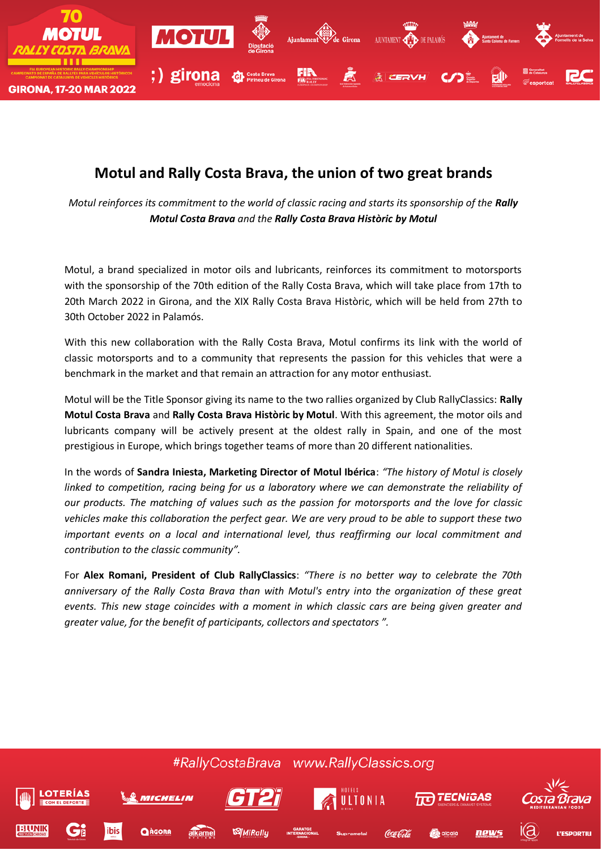

## **Motul and Rally Costa Brava, the union of two great brands**

*Motul reinforces its commitment to the world of classic racing and starts its sponsorship of the Rally Motul Costa Brava and the Rally Costa Brava Històric by Motul*

Motul, a brand specialized in motor oils and lubricants, reinforces its commitment to motorsports with the sponsorship of the 70th edition of the Rally Costa Brava, which will take place from 17th to 20th March 2022 in Girona, and the XIX Rally Costa Brava Històric, which will be held from 27th to 30th October 2022 in Palamós.

With this new collaboration with the Rally Costa Brava, Motul confirms its link with the world of classic motorsports and to a community that represents the passion for this vehicles that were a benchmark in the market and that remain an attraction for any motor enthusiast.

Motul will be the Title Sponsor giving its name to the two rallies organized by Club RallyClassics: **Rally Motul Costa Brava** and **Rally Costa Brava Històric by Motul**. With this agreement, the motor oils and lubricants company will be actively present at the oldest rally in Spain, and one of the most prestigious in Europe, which brings together teams of more than 20 different nationalities.

In the words of **Sandra Iniesta, Marketing Director of Motul Ibérica**: *"The history of Motul is closely linked to competition, racing being for us a laboratory where we can demonstrate the reliability of our products. The matching of values such as the passion for motorsports and the love for classic vehicles make this collaboration the perfect gear. We are very proud to be able to support these two important events on a local and international level, thus reaffirming our local commitment and contribution to the classic community".*

For **Alex Romani, President of Club RallyClassics**: *"There is no better way to celebrate the 70th anniversary of the Rally Costa Brava than with Motul's entry into the organization of these great events. This new stage coincides with a moment in which classic cars are being given greater and greater value, for the benefit of participants, collectors and spectators ".*